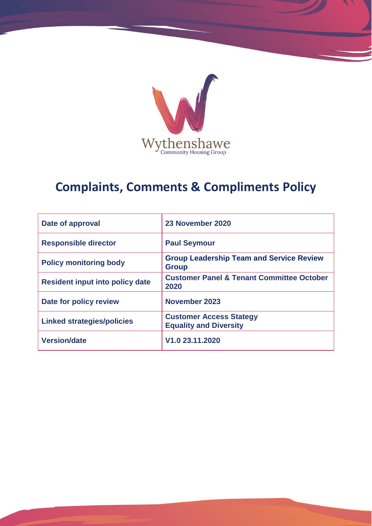

# **Complaints, Comments & Compliments Policy**

| Date of approval                       | 23 November 2020                                                |
|----------------------------------------|-----------------------------------------------------------------|
| <b>Responsible director</b>            | <b>Paul Seymour</b>                                             |
| <b>Policy monitoring body</b>          | <b>Group Leadership Team and Service Review</b><br><b>Group</b> |
| <b>Resident input into policy date</b> | <b>Customer Panel &amp; Tenant Committee October</b><br>2020    |
| Date for policy review                 | November 2023                                                   |
| <b>Linked strategies/policies</b>      | <b>Customer Access Stategy</b><br><b>Equality and Diversity</b> |
| <b>Version/date</b>                    | V <sub>1.0</sub> 23.11.2020                                     |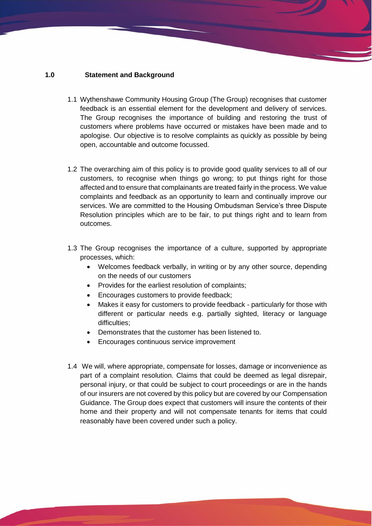#### **1.0 Statement and Background**

- 1.1 Wythenshawe Community Housing Group (The Group) recognises that customer feedback is an essential element for the development and delivery of services. The Group recognises the importance of building and restoring the trust of customers where problems have occurred or mistakes have been made and to apologise. Our objective is to resolve complaints as quickly as possible by being open, accountable and outcome focussed.
- 1.2 The overarching aim of this policy is to provide good quality services to all of our customers, to recognise when things go wrong; to put things right for those affected and to ensure that complainants are treated fairly in the process. We value complaints and feedback as an opportunity to learn and continually improve our services. We are committed to the Housing Ombudsman Service's three Dispute Resolution principles which are to be fair, to put things right and to learn from outcomes.
- 1.3 The Group recognises the importance of a culture, supported by appropriate processes, which:
	- Welcomes feedback verbally, in writing or by any other source, depending on the needs of our customers
	- Provides for the earliest resolution of complaints;
	- Encourages customers to provide feedback;
	- Makes it easy for customers to provide feedback particularly for those with different or particular needs e.g. partially sighted, literacy or language difficulties:
	- Demonstrates that the customer has been listened to.
	- Encourages continuous service improvement
- 1.4 We will, where appropriate, compensate for losses, damage or inconvenience as part of a complaint resolution. Claims that could be deemed as legal disrepair, personal injury, or that could be subject to court proceedings or are in the hands of our insurers are not covered by this policy but are covered by our Compensation Guidance. The Group does expect that customers will insure the contents of their home and their property and will not compensate tenants for items that could reasonably have been covered under such a policy.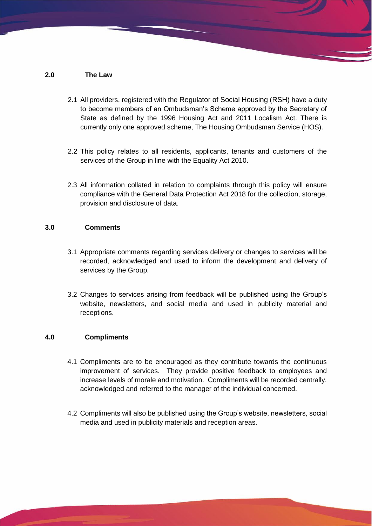## **2.0 The Law**

- 2.1 All providers, registered with the Regulator of Social Housing (RSH) have a duty to become members of an Ombudsman's Scheme approved by the Secretary of State as defined by the 1996 Housing Act and 2011 Localism Act. There is currently only one approved scheme, The Housing Ombudsman Service (HOS).
- 2.2 This policy relates to all residents, applicants, tenants and customers of the services of the Group in line with the Equality Act 2010.
- 2.3 All information collated in relation to complaints through this policy will ensure compliance with the General Data Protection Act 2018 for the collection, storage, provision and disclosure of data.

## **3.0 Comments**

- 3.1 Appropriate comments regarding services delivery or changes to services will be recorded, acknowledged and used to inform the development and delivery of services by the Group.
- 3.2 Changes to services arising from feedback will be published using the Group's website, newsletters, and social media and used in publicity material and receptions.

### **4.0 Compliments**

- 4.1 Compliments are to be encouraged as they contribute towards the continuous improvement of services. They provide positive feedback to employees and increase levels of morale and motivation. Compliments will be recorded centrally, acknowledged and referred to the manager of the individual concerned.
- 4.2 Compliments will also be published using the Group's website, newsletters, social media and used in publicity materials and reception areas.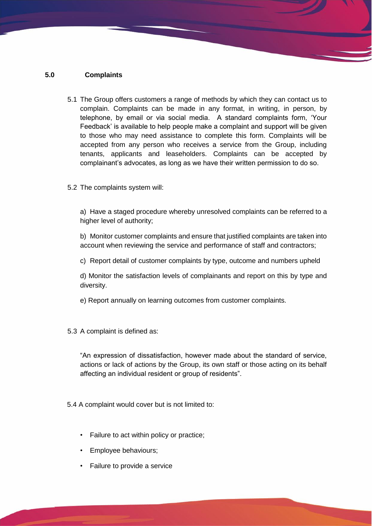## **5.0 Complaints**

- 5.1 The Group offers customers a range of methods by which they can contact us to complain. Complaints can be made in any format, in writing, in person, by telephone, by email or via social media. A standard complaints form, 'Your Feedback' is available to help people make a complaint and support will be given to those who may need assistance to complete this form. Complaints will be accepted from any person who receives a service from the Group, including tenants, applicants and leaseholders. Complaints can be accepted by complainant's advocates, as long as we have their written permission to do so.
- 5.2 The complaints system will:

a) Have a staged procedure whereby unresolved complaints can be referred to a higher level of authority;

b) Monitor customer complaints and ensure that justified complaints are taken into account when reviewing the service and performance of staff and contractors;

c) Report detail of customer complaints by type, outcome and numbers upheld

d) Monitor the satisfaction levels of complainants and report on this by type and diversity.

e) Report annually on learning outcomes from customer complaints.

5.3 A complaint is defined as:

"An expression of dissatisfaction, however made about the standard of service, actions or lack of actions by the Group, its own staff or those acting on its behalf affecting an individual resident or group of residents".

5.4 A complaint would cover but is not limited to:

- Failure to act within policy or practice;
- Employee behaviours;
- Failure to provide a service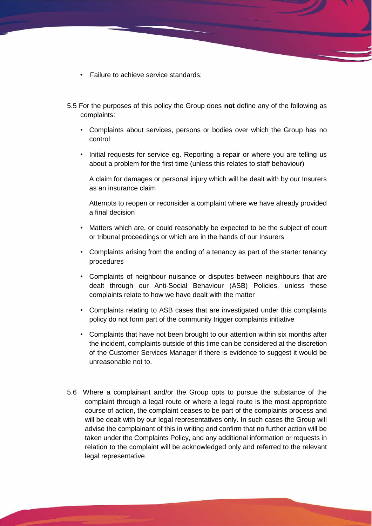- Failure to achieve service standards;
- 5.5 For the purposes of this policy the Group does **not** define any of the following as complaints:
	- Complaints about services, persons or bodies over which the Group has no control
	- Initial requests for service eg. Reporting a repair or where you are telling us about a problem for the first time (unless this relates to staff behaviour)

A claim for damages or personal injury which will be dealt with by our Insurers as an insurance claim

Attempts to reopen or reconsider a complaint where we have already provided a final decision

- Matters which are, or could reasonably be expected to be the subject of court or tribunal proceedings or which are in the hands of our Insurers
- Complaints arising from the ending of a tenancy as part of the starter tenancy procedures
- Complaints of neighbour nuisance or disputes between neighbours that are dealt through our Anti-Social Behaviour (ASB) Policies, unless these complaints relate to how we have dealt with the matter
- Complaints relating to ASB cases that are investigated under this complaints policy do not form part of the community trigger complaints initiative
- Complaints that have not been brought to our attention within six months after the incident, complaints outside of this time can be considered at the discretion of the Customer Services Manager if there is evidence to suggest it would be unreasonable not to.
- 5.6 Where a complainant and/or the Group opts to pursue the substance of the complaint through a legal route or where a legal route is the most appropriate course of action, the complaint ceases to be part of the complaints process and will be dealt with by our legal representatives only. In such cases the Group will advise the complainant of this in writing and confirm that no further action will be taken under the Complaints Policy, and any additional information or requests in relation to the complaint will be acknowledged only and referred to the relevant legal representative.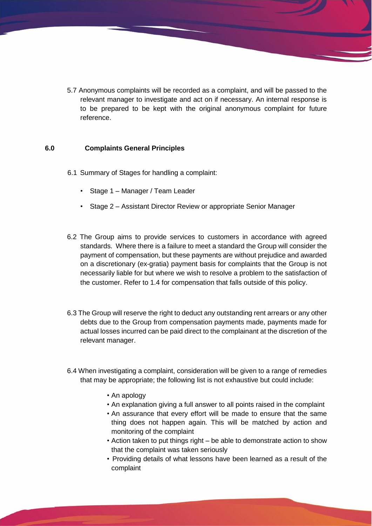5.7 Anonymous complaints will be recorded as a complaint, and will be passed to the relevant manager to investigate and act on if necessary. An internal response is to be prepared to be kept with the original anonymous complaint for future reference.

#### **6.0 Complaints General Principles**

- 6.1 Summary of Stages for handling a complaint:
	- Stage 1 Manager / Team Leader
	- Stage 2 Assistant Director Review or appropriate Senior Manager
- 6.2 The Group aims to provide services to customers in accordance with agreed standards. Where there is a failure to meet a standard the Group will consider the payment of compensation, but these payments are without prejudice and awarded on a discretionary (ex-gratia) payment basis for complaints that the Group is not necessarily liable for but where we wish to resolve a problem to the satisfaction of the customer. Refer to 1.4 for compensation that falls outside of this policy.
- 6.3 The Group will reserve the right to deduct any outstanding rent arrears or any other debts due to the Group from compensation payments made, payments made for actual losses incurred can be paid direct to the complainant at the discretion of the relevant manager.
- 6.4 When investigating a complaint, consideration will be given to a range of remedies that may be appropriate; the following list is not exhaustive but could include:
	- An apology
	- An explanation giving a full answer to all points raised in the complaint
	- An assurance that every effort will be made to ensure that the same thing does not happen again. This will be matched by action and monitoring of the complaint
	- Action taken to put things right be able to demonstrate action to show that the complaint was taken seriously
	- Providing details of what lessons have been learned as a result of the complaint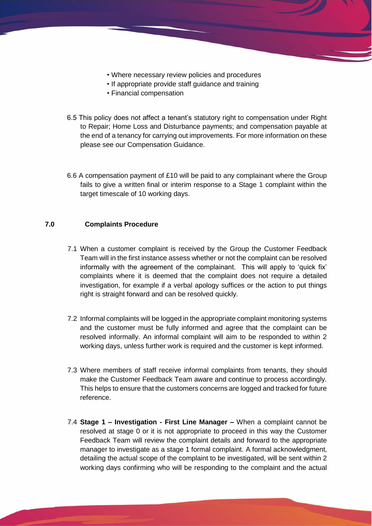- Where necessary review policies and procedures
- If appropriate provide staff guidance and training
- Financial compensation
- 6.5 This policy does not affect a tenant's statutory right to compensation under Right to Repair; Home Loss and Disturbance payments; and compensation payable at the end of a tenancy for carrying out improvements. For more information on these please see our Compensation Guidance.
- 6.6 A compensation payment of £10 will be paid to any complainant where the Group fails to give a written final or interim response to a Stage 1 complaint within the target timescale of 10 working days.

#### **7.0 Complaints Procedure**

- 7.1 When a customer complaint is received by the Group the Customer Feedback Team will in the first instance assess whether or not the complaint can be resolved informally with the agreement of the complainant. This will apply to 'quick fix' complaints where it is deemed that the complaint does not require a detailed investigation, for example if a verbal apology suffices or the action to put things right is straight forward and can be resolved quickly.
- 7.2 Informal complaints will be logged in the appropriate complaint monitoring systems and the customer must be fully informed and agree that the complaint can be resolved informally. An informal complaint will aim to be responded to within 2 working days, unless further work is required and the customer is kept informed.
- 7.3 Where members of staff receive informal complaints from tenants, they should make the Customer Feedback Team aware and continue to process accordingly. This helps to ensure that the customers concerns are logged and tracked for future reference.
- 7.4 **Stage 1 – Investigation - First Line Manager –** When a complaint cannot be resolved at stage 0 or it is not appropriate to proceed in this way the Customer Feedback Team will review the complaint details and forward to the appropriate manager to investigate as a stage 1 formal complaint. A formal acknowledgment, detailing the actual scope of the complaint to be investigated, will be sent within 2 working days confirming who will be responding to the complaint and the actual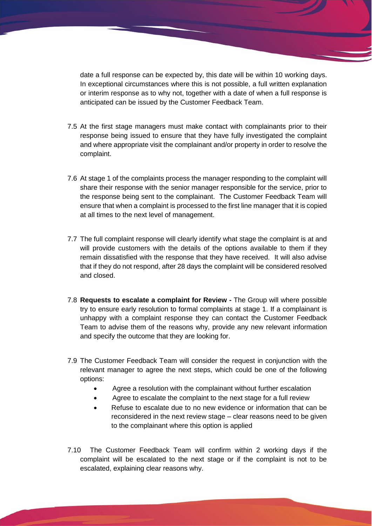date a full response can be expected by, this date will be within 10 working days. In exceptional circumstances where this is not possible, a full written explanation or interim response as to why not, together with a date of when a full response is anticipated can be issued by the Customer Feedback Team.

- 7.5 At the first stage managers must make contact with complainants prior to their response being issued to ensure that they have fully investigated the complaint and where appropriate visit the complainant and/or property in order to resolve the complaint.
- 7.6 At stage 1 of the complaints process the manager responding to the complaint will share their response with the senior manager responsible for the service, prior to the response being sent to the complainant. The Customer Feedback Team will ensure that when a complaint is processed to the first line manager that it is copied at all times to the next level of management.
- 7.7 The full complaint response will clearly identify what stage the complaint is at and will provide customers with the details of the options available to them if they remain dissatisfied with the response that they have received. It will also advise that if they do not respond, after 28 days the complaint will be considered resolved and closed.
- 7.8 **Requests to escalate a complaint for Review -** The Group will where possible try to ensure early resolution to formal complaints at stage 1. If a complainant is unhappy with a complaint response they can contact the Customer Feedback Team to advise them of the reasons why, provide any new relevant information and specify the outcome that they are looking for.
- 7.9 The Customer Feedback Team will consider the request in conjunction with the relevant manager to agree the next steps, which could be one of the following options:
	- Agree a resolution with the complainant without further escalation
	- Agree to escalate the complaint to the next stage for a full review
	- Refuse to escalate due to no new evidence or information that can be reconsidered in the next review stage – clear reasons need to be given to the complainant where this option is applied
- 7.10 The Customer Feedback Team will confirm within 2 working days if the complaint will be escalated to the next stage or if the complaint is not to be escalated, explaining clear reasons why.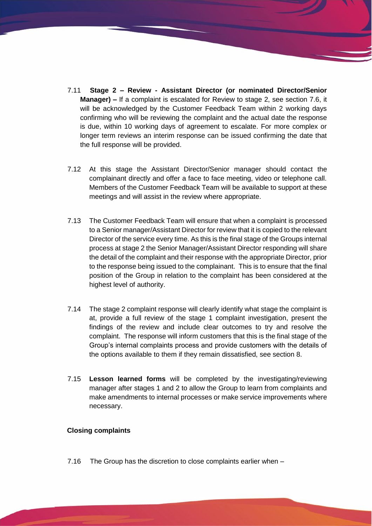- 7.11 **Stage 2 – Review - Assistant Director (or nominated Director/Senior Manager) –** If a complaint is escalated for Review to stage 2, see section 7.6, it will be acknowledged by the Customer Feedback Team within 2 working days confirming who will be reviewing the complaint and the actual date the response is due, within 10 working days of agreement to escalate. For more complex or longer term reviews an interim response can be issued confirming the date that the full response will be provided.
- 7.12 At this stage the Assistant Director/Senior manager should contact the complainant directly and offer a face to face meeting, video or telephone call. Members of the Customer Feedback Team will be available to support at these meetings and will assist in the review where appropriate.
- 7.13 The Customer Feedback Team will ensure that when a complaint is processed to a Senior manager/Assistant Director for review that it is copied to the relevant Director of the service every time. As this is the final stage of the Groups internal process at stage 2 the Senior Manager/Assistant Director responding will share the detail of the complaint and their response with the appropriate Director, prior to the response being issued to the complainant. This is to ensure that the final position of the Group in relation to the complaint has been considered at the highest level of authority.
- 7.14 The stage 2 complaint response will clearly identify what stage the complaint is at, provide a full review of the stage 1 complaint investigation, present the findings of the review and include clear outcomes to try and resolve the complaint. The response will inform customers that this is the final stage of the Group's internal complaints process and provide customers with the details of the options available to them if they remain dissatisfied, see section 8.
- 7.15 **Lesson learned forms** will be completed by the investigating/reviewing manager after stages 1 and 2 to allow the Group to learn from complaints and make amendments to internal processes or make service improvements where necessary.

#### **Closing complaints**

7.16 The Group has the discretion to close complaints earlier when –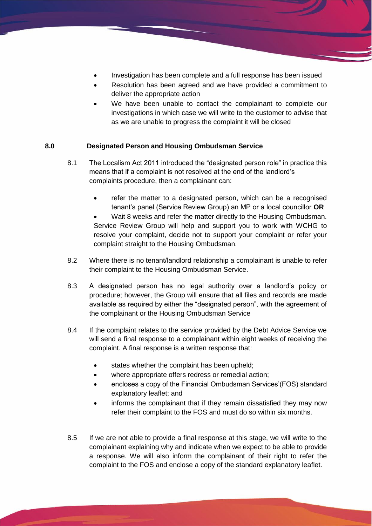- Investigation has been complete and a full response has been issued
- Resolution has been agreed and we have provided a commitment to deliver the appropriate action
- We have been unable to contact the complainant to complete our investigations in which case we will write to the customer to advise that as we are unable to progress the complaint it will be closed

# **8.0 Designated Person and Housing Ombudsman Service**

- 8.1 The Localism Act 2011 introduced the "designated person role" in practice this means that if a complaint is not resolved at the end of the landlord's complaints procedure, then a complainant can:
	- refer the matter to a designated person, which can be a recognised tenant's panel (Service Review Group) an MP or a local councillor **OR**
	- Wait 8 weeks and refer the matter directly to the Housing Ombudsman. Service Review Group will help and support you to work with WCHG to resolve your complaint, decide not to support your complaint or refer your complaint straight to the Housing Ombudsman.
- 8.2 Where there is no tenant/landlord relationship a complainant is unable to refer their complaint to the Housing Ombudsman Service.
- 8.3 A designated person has no legal authority over a landlord's policy or procedure; however, the Group will ensure that all files and records are made available as required by either the "designated person", with the agreement of the complainant or the Housing Ombudsman Service
- 8.4 If the complaint relates to the service provided by the Debt Advice Service we will send a final response to a complainant within eight weeks of receiving the complaint. A final response is a written response that:
	- states whether the complaint has been upheld;
	- where appropriate offers redress or remedial action;
	- encloses a copy of the Financial Ombudsman Services'(FOS) standard explanatory leaflet; and
	- informs the complainant that if they remain dissatisfied they may now refer their complaint to the FOS and must do so within six months.
- 8.5 If we are not able to provide a final response at this stage, we will write to the complainant explaining why and indicate when we expect to be able to provide a response. We will also inform the complainant of their right to refer the complaint to the FOS and enclose a copy of the standard explanatory leaflet.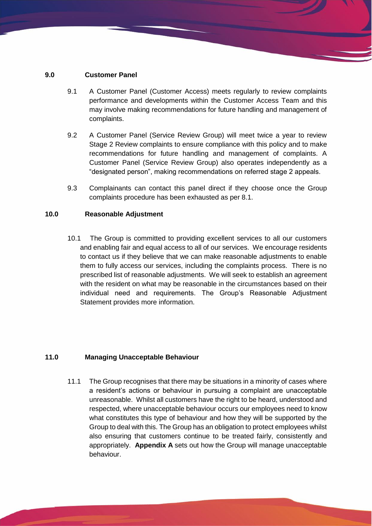## **9.0 Customer Panel**

- 9.1 A Customer Panel (Customer Access) meets regularly to review complaints performance and developments within the Customer Access Team and this may involve making recommendations for future handling and management of complaints.
- 9.2 A Customer Panel (Service Review Group) will meet twice a year to review Stage 2 Review complaints to ensure compliance with this policy and to make recommendations for future handling and management of complaints. A Customer Panel (Service Review Group) also operates independently as a "designated person", making recommendations on referred stage 2 appeals.
- 9.3 Complainants can contact this panel direct if they choose once the Group complaints procedure has been exhausted as per 8.1.

### **10.0 Reasonable Adjustment**

10.1 The Group is committed to providing excellent services to all our customers and enabling fair and equal access to all of our services. We encourage residents to contact us if they believe that we can make reasonable adjustments to enable them to fully access our services, including the complaints process. There is no prescribed list of reasonable adjustments. We will seek to establish an agreement with the resident on what may be reasonable in the circumstances based on their individual need and requirements. The Group's Reasonable Adjustment Statement provides more information.

### **11.0 Managing Unacceptable Behaviour**

11.1 The Group recognises that there may be situations in a minority of cases where a resident's actions or behaviour in pursuing a complaint are unacceptable unreasonable. Whilst all customers have the right to be heard, understood and respected, where unacceptable behaviour occurs our employees need to know what constitutes this type of behaviour and how they will be supported by the Group to deal with this. The Group has an obligation to protect employees whilst also ensuring that customers continue to be treated fairly, consistently and appropriately. **Appendix A** sets out how the Group will manage unacceptable behaviour.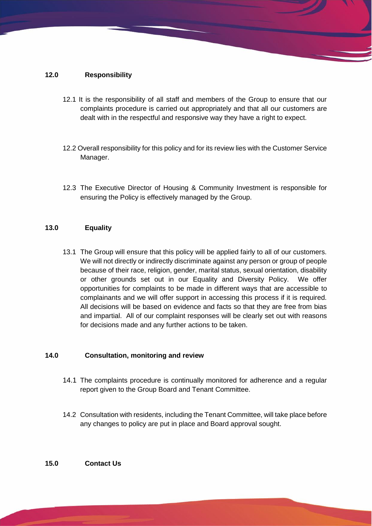# **12.0 Responsibility**

- 12.1 It is the responsibility of all staff and members of the Group to ensure that our complaints procedure is carried out appropriately and that all our customers are dealt with in the respectful and responsive way they have a right to expect.
- 12.2 Overall responsibility for this policy and for its review lies with the Customer Service Manager.
- 12.3 The Executive Director of Housing & Community Investment is responsible for ensuring the Policy is effectively managed by the Group.

### **13.0 Equality**

13.1 The Group will ensure that this policy will be applied fairly to all of our customers. We will not directly or indirectly discriminate against any person or group of people because of their race, religion, gender, marital status, sexual orientation, disability or other grounds set out in our Equality and Diversity Policy. We offer opportunities for complaints to be made in different ways that are accessible to complainants and we will offer support in accessing this process if it is required. All decisions will be based on evidence and facts so that they are free from bias and impartial. All of our complaint responses will be clearly set out with reasons for decisions made and any further actions to be taken.

## **14.0 Consultation, monitoring and review**

- 14.1 The complaints procedure is continually monitored for adherence and a regular report given to the Group Board and Tenant Committee.
- 14.2 Consultation with residents, including the Tenant Committee, will take place before any changes to policy are put in place and Board approval sought.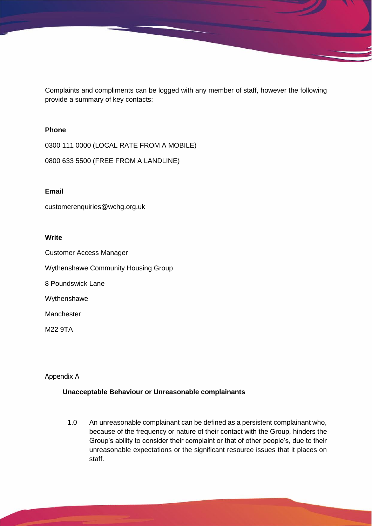Complaints and compliments can be logged with any member of staff, however the following provide a summary of key contacts:

#### **Phone**

0300 111 0000 (LOCAL RATE FROM A MOBILE)

0800 633 5500 (FREE FROM A LANDLINE)

#### **Email**

customerenquiries@wchg.org.uk

#### **Write**

Customer Access Manager

Wythenshawe Community Housing Group

8 Poundswick Lane

Wythenshawe

Manchester

M22 9TA

# Appendix A

### **Unacceptable Behaviour or Unreasonable complainants**

1.0 An unreasonable complainant can be defined as a persistent complainant who, because of the frequency or nature of their contact with the Group, hinders the Group's ability to consider their complaint or that of other people's, due to their unreasonable expectations or the significant resource issues that it places on staff.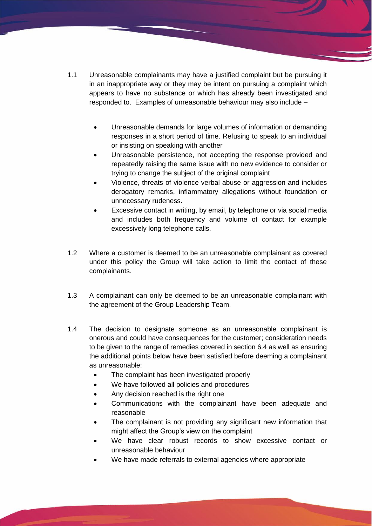- 1.1 Unreasonable complainants may have a justified complaint but be pursuing it in an inappropriate way or they may be intent on pursuing a complaint which appears to have no substance or which has already been investigated and responded to. Examples of unreasonable behaviour may also include –
	- Unreasonable demands for large volumes of information or demanding responses in a short period of time. Refusing to speak to an individual or insisting on speaking with another
	- Unreasonable persistence, not accepting the response provided and repeatedly raising the same issue with no new evidence to consider or trying to change the subject of the original complaint
	- Violence, threats of violence verbal abuse or aggression and includes derogatory remarks, inflammatory allegations without foundation or unnecessary rudeness.
	- Excessive contact in writing, by email, by telephone or via social media and includes both frequency and volume of contact for example excessively long telephone calls.
- 1.2 Where a customer is deemed to be an unreasonable complainant as covered under this policy the Group will take action to limit the contact of these complainants.
- 1.3 A complainant can only be deemed to be an unreasonable complainant with the agreement of the Group Leadership Team.
- 1.4 The decision to designate someone as an unreasonable complainant is onerous and could have consequences for the customer; consideration needs to be given to the range of remedies covered in section 6.4 as well as ensuring the additional points below have been satisfied before deeming a complainant as unreasonable:
	- The complaint has been investigated properly
	- We have followed all policies and procedures
	- Any decision reached is the right one
	- Communications with the complainant have been adequate and reasonable
	- The complainant is not providing any significant new information that might affect the Group's view on the complaint
	- We have clear robust records to show excessive contact or unreasonable behaviour
	- We have made referrals to external agencies where appropriate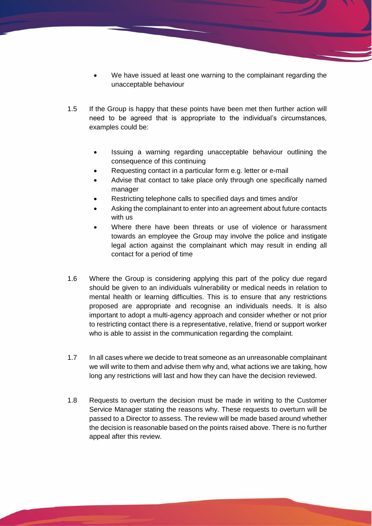- We have issued at least one warning to the complainant regarding the unacceptable behaviour
- 1.5 If the Group is happy that these points have been met then further action will need to be agreed that is appropriate to the individual's circumstances, examples could be:
	- Issuing a warning regarding unacceptable behaviour outlining the consequence of this continuing
	- Requesting contact in a particular form e.g. letter or e-mail
	- Advise that contact to take place only through one specifically named manager
	- Restricting telephone calls to specified days and times and/or
	- Asking the complainant to enter into an agreement about future contacts with us
	- Where there have been threats or use of violence or harassment towards an employee the Group may involve the police and instigate legal action against the complainant which may result in ending all contact for a period of time
- 1.6 Where the Group is considering applying this part of the policy due regard should be given to an individuals vulnerability or medical needs in relation to mental health or learning difficulties. This is to ensure that any restrictions proposed are appropriate and recognise an individuals needs. It is also important to adopt a multi-agency approach and consider whether or not prior to restricting contact there is a representative, relative, friend or support worker who is able to assist in the communication regarding the complaint.
- 1.7 In all cases where we decide to treat someone as an unreasonable complainant we will write to them and advise them why and, what actions we are taking, how long any restrictions will last and how they can have the decision reviewed.
- 1.8 Requests to overturn the decision must be made in writing to the Customer Service Manager stating the reasons why. These requests to overturn will be passed to a Director to assess. The review will be made based around whether the decision is reasonable based on the points raised above. There is no further appeal after this review.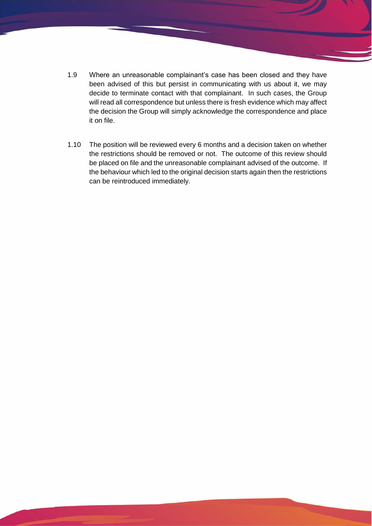- 1.9 Where an unreasonable complainant's case has been closed and they have been advised of this but persist in communicating with us about it, we may decide to terminate contact with that complainant. In such cases, the Group will read all correspondence but unless there is fresh evidence which may affect the decision the Group will simply acknowledge the correspondence and place it on file.
- 1.10 The position will be reviewed every 6 months and a decision taken on whether the restrictions should be removed or not. The outcome of this review should be placed on file and the unreasonable complainant advised of the outcome. If the behaviour which led to the original decision starts again then the restrictions can be reintroduced immediately.